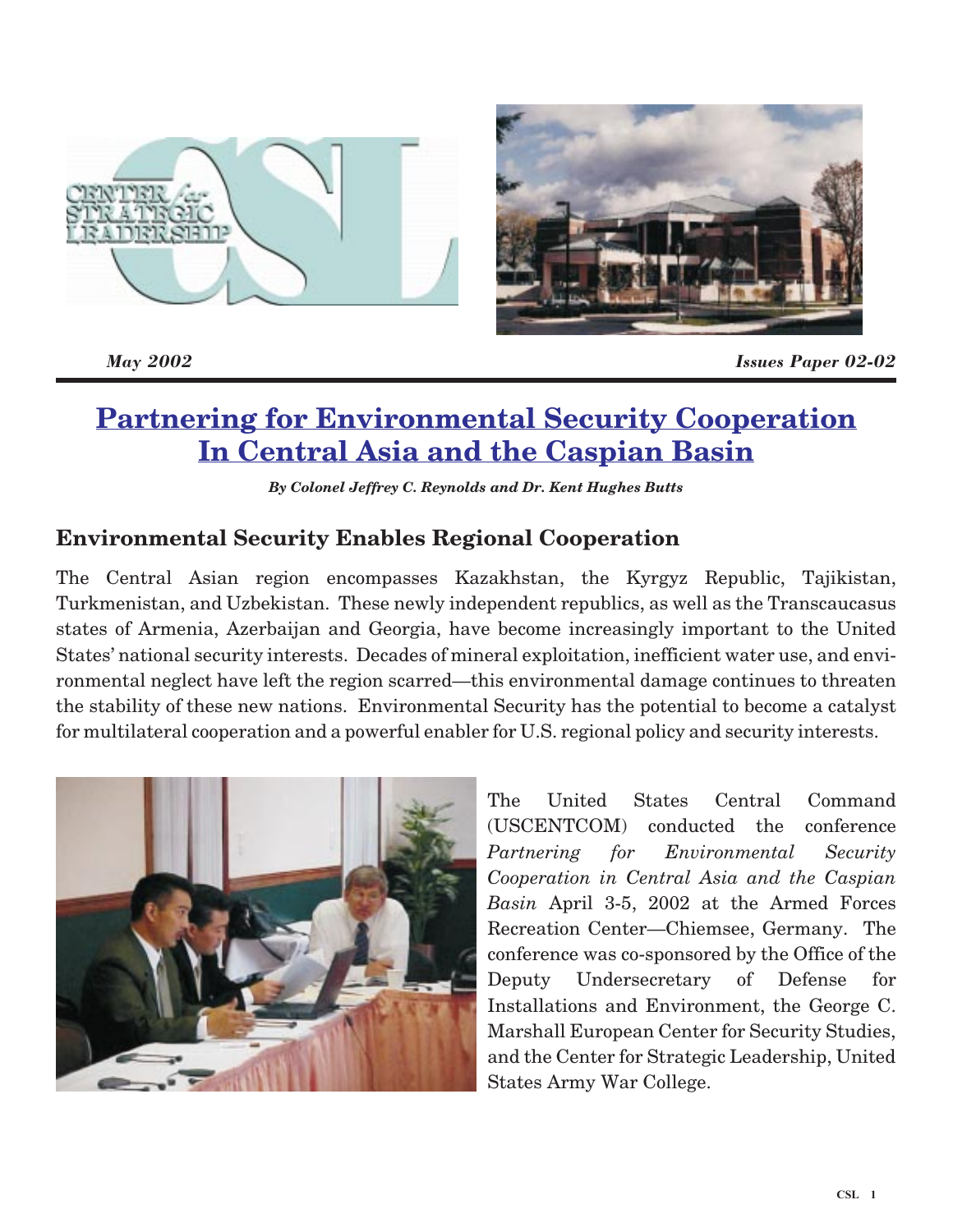

*May 2002 Issues Paper 02-02*

# **Partnering for Environmental Security Cooperation In Central Asia and the Caspian Basin**

*By Colonel Jeffrey C. Reynolds and Dr. Kent Hughes Butts*

# **Environmental Security Enables Regional Cooperation**

The Central Asian region encompasses Kazakhstan, the Kyrgyz Republic, Tajikistan, Turkmenistan, and Uzbekistan. These newly independent republics, as well as the Transcaucasus states of Armenia, Azerbaijan and Georgia, have become increasingly important to the United States' national security interests. Decades of mineral exploitation, inefficient water use, and environmental neglect have left the region scarred—this environmental damage continues to threaten the stability of these new nations. Environmental Security has the potential to become a catalyst for multilateral cooperation and a powerful enabler for U.S. regional policy and security interests.



The United States Central Command (USCENTCOM) conducted the conference *Partnering for Environmental Security Cooperation in Central Asia and the Caspian Basin* April 3-5, 2002 at the Armed Forces Recreation Center—Chiemsee, Germany. The conference was co-sponsored by the Office of the Deputy Undersecretary of Defense for Installations and Environment, the George C. Marshall European Center for Security Studies, and the Center for Strategic Leadership, United States Army War College.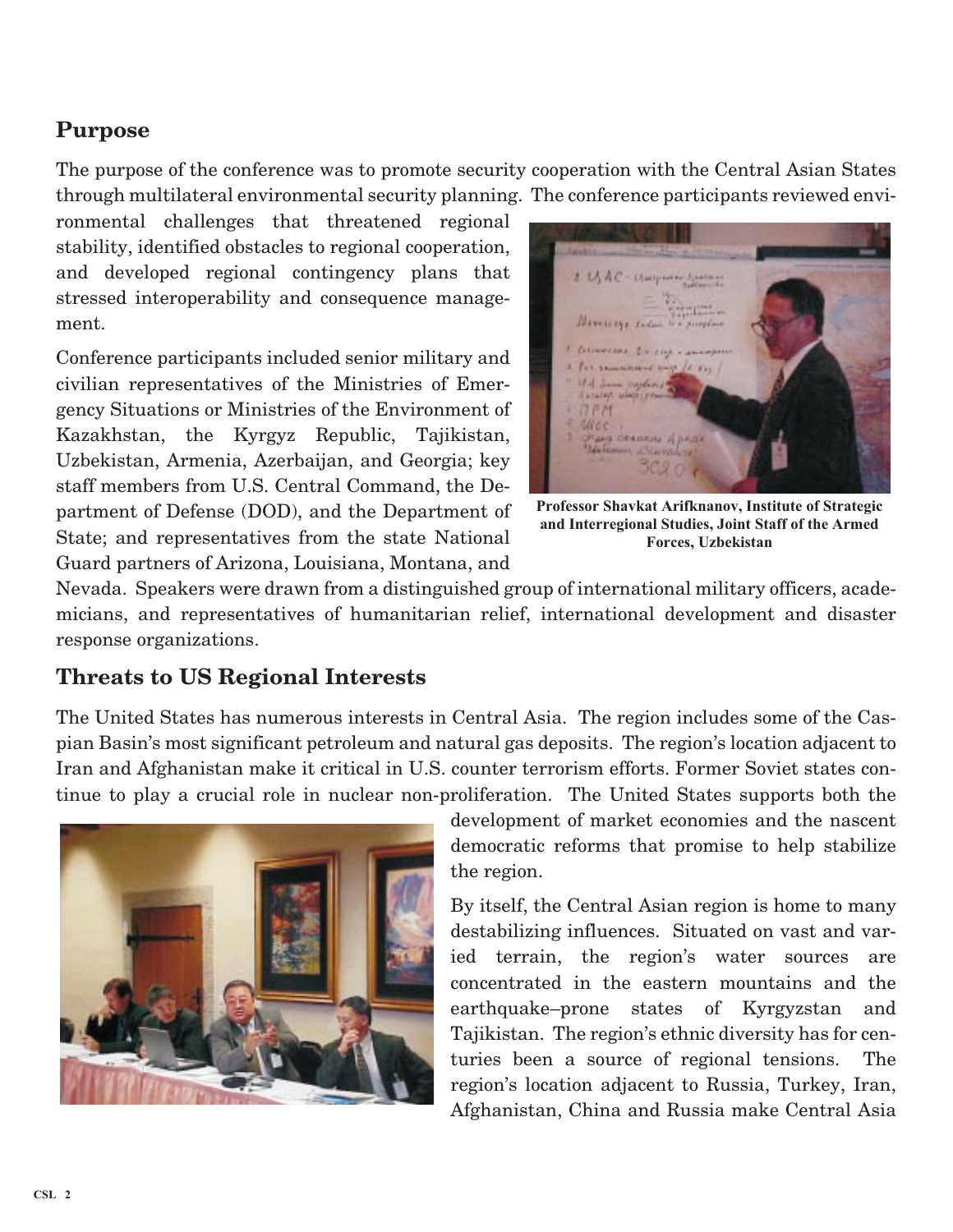# **Purpose**

The purpose of the conference was to promote security cooperation with the Central Asian States through multilateral environmental security planning. The conference participants reviewed envi-

ronmental challenges that threatened regional stability, identified obstacles to regional cooperation, and developed regional contingency plans that stressed interoperability and consequence management.

Conference participants included senior military and civilian representatives of the Ministries of Emergency Situations or Ministries of the Environment of Kazakhstan, the Kyrgyz Republic, Tajikistan, Uzbekistan, Armenia, Azerbaijan, and Georgia; key staff members from U.S. Central Command, the Department of Defense (DOD), and the Department of State; and representatives from the state National Guard partners of Arizona, Louisiana, Montana, and

2 USAC - Uniquines *Alamacore e* Converses division an 1 For remember away  $14.841$ 184 Same mylins  $77M$ suc пана свямки Архан

**Professor Shavkat Arifknanov, Institute of Strategic and Interregional Studies, Joint Staff of the Armed Forces, Uzbekistan**

Nevada. Speakers were drawn from a distinguished group of international military officers, academicians, and representatives of humanitarian relief, international development and disaster response organizations.

## **Threats to US Regional Interests**

The United States has numerous interests in Central Asia. The region includes some of the Caspian Basin's most significant petroleum and natural gas deposits. The region's location adjacent to Iran and Afghanistan make it critical in U.S. counter terrorism efforts. Former Soviet states continue to play a crucial role in nuclear non-proliferation. The United States supports both the



development of market economies and the nascent democratic reforms that promise to help stabilize the region.

By itself, the Central Asian region is home to many destabilizing influences. Situated on vast and varied terrain, the region's water sources are concentrated in the eastern mountains and the earthquake–prone states of Kyrgyzstan and Tajikistan. The region's ethnic diversity has for centuries been a source of regional tensions. The region's location adjacent to Russia, Turkey, Iran, Afghanistan, China and Russia make Central Asia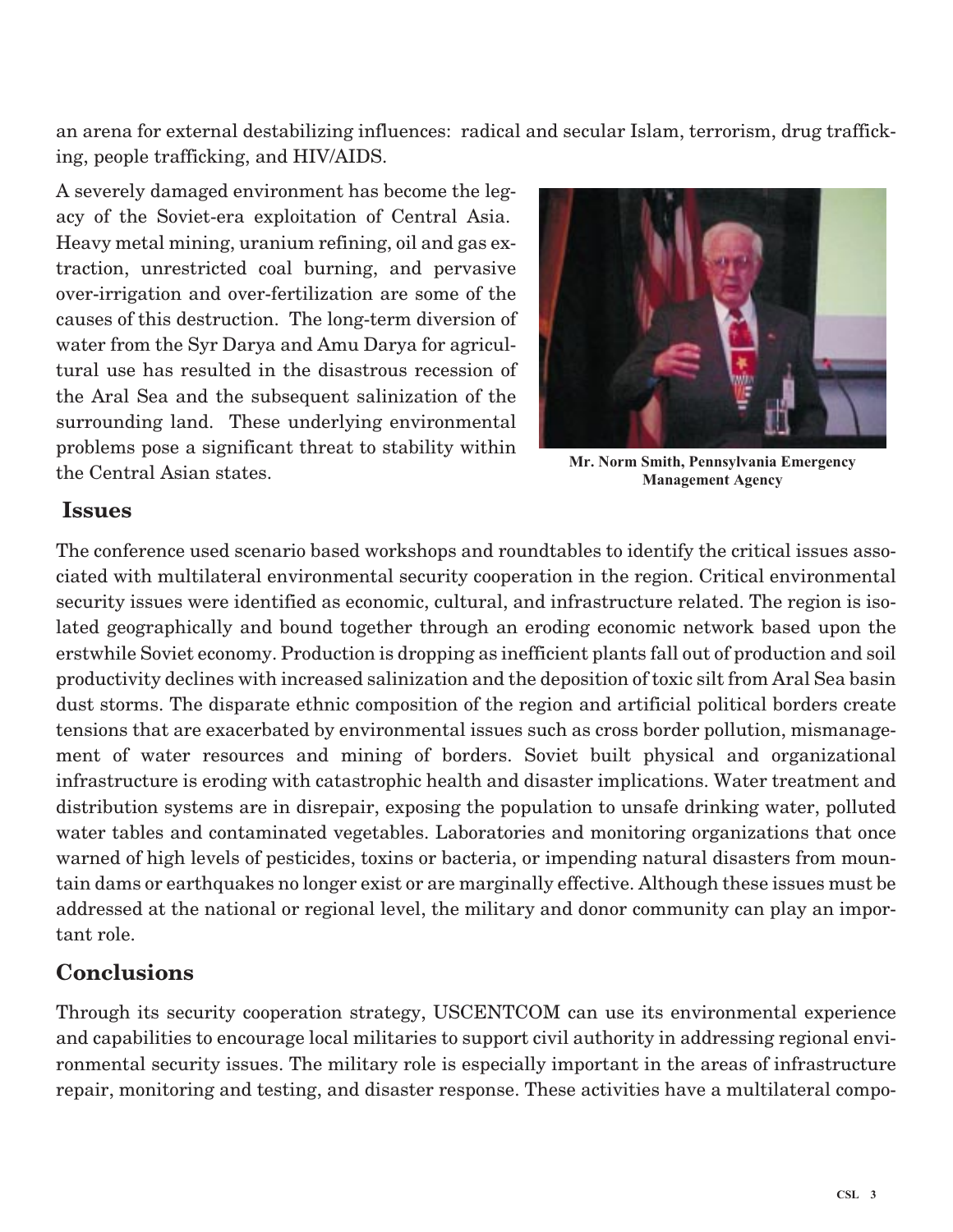an arena for external destabilizing influences: radical and secular Islam, terrorism, drug trafficking, people trafficking, and HIV/AIDS.

A severely damaged environment has become the legacy of the Soviet-era exploitation of Central Asia. Heavy metal mining, uranium refining, oil and gas extraction, unrestricted coal burning, and pervasive over-irrigation and over-fertilization are some of the causes of this destruction. The long-term diversion of water from the Syr Darya and Amu Darya for agricultural use has resulted in the disastrous recession of the Aral Sea and the subsequent salinization of the surrounding land. These underlying environmental problems pose a significant threat to stability within the Central Asian states.



**Mr. Norm Smith, Pennsylvania Emergency Management Agency**

### **Issues**

The conference used scenario based workshops and roundtables to identify the critical issues associated with multilateral environmental security cooperation in the region. Critical environmental security issues were identified as economic, cultural, and infrastructure related. The region is isolated geographically and bound together through an eroding economic network based upon the erstwhile Soviet economy. Production is dropping as inefficient plants fall out of production and soil productivity declines with increased salinization and the deposition of toxic silt from Aral Sea basin dust storms. The disparate ethnic composition of the region and artificial political borders create tensions that are exacerbated by environmental issues such as cross border pollution, mismanagement of water resources and mining of borders. Soviet built physical and organizational infrastructure is eroding with catastrophic health and disaster implications. Water treatment and distribution systems are in disrepair, exposing the population to unsafe drinking water, polluted water tables and contaminated vegetables. Laboratories and monitoring organizations that once warned of high levels of pesticides, toxins or bacteria, or impending natural disasters from mountain dams or earthquakes no longer exist or are marginally effective. Although these issues must be addressed at the national or regional level, the military and donor community can play an important role.

## **Conclusions**

Through its security cooperation strategy, USCENTCOM can use its environmental experience and capabilities to encourage local militaries to support civil authority in addressing regional environmental security issues. The military role is especially important in the areas of infrastructure repair, monitoring and testing, and disaster response. These activities have a multilateral compo-